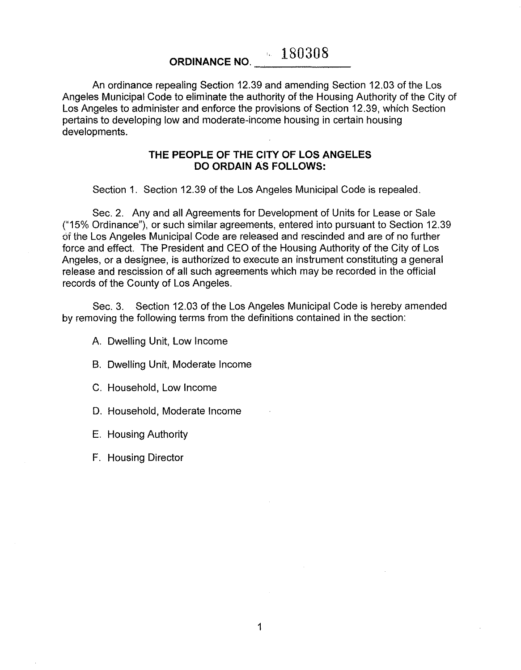**ORDINANCE NO.** 4. 180308

An ordinance repealing Section 12.39 and amending Section 12.03 of the Los Angeles Municipal Code to eliminate the authority of the Housing Authority of the City of Los Angeles to administer and enforce the provisions of Section 12.39, which Section pertains to developing low and moderate-income housing in certain housing developments.

## **THE PEOPLE OF THE CITY OF lOS ANGELES DO ORDAIN AS FOLLOWS:**

Section 1. Section 12.39 of the Los Angeles Municipal Code is repealed.

Sec. 2. Any and all Agreements for Development of Units for Lease or Sale ("15% Ordinance"), or such similar agreements, entered into pursuant to Section 12.39 of the Los Angeles Municipal Code are released and rescinded and are of no further force and effect. The President and CEO of the Housing Authority of the City of Los Angeles, or a designee, is authorized to execute an instrument constituting a general release and rescission of all such agreements which may be recorded in the official records of the County of Los Angeles.

Sec. 3. Section 12.03 of the Los Angeles Municipal Code is hereby amended by removing the following terms from the definitions contained in the section:

A. Dwelling Unit, Low Income

B. Dwelling Unit, Moderate Income

C. Household, Low Income

D. Household, Moderate Income

E. Housing Authority

F. Housing Director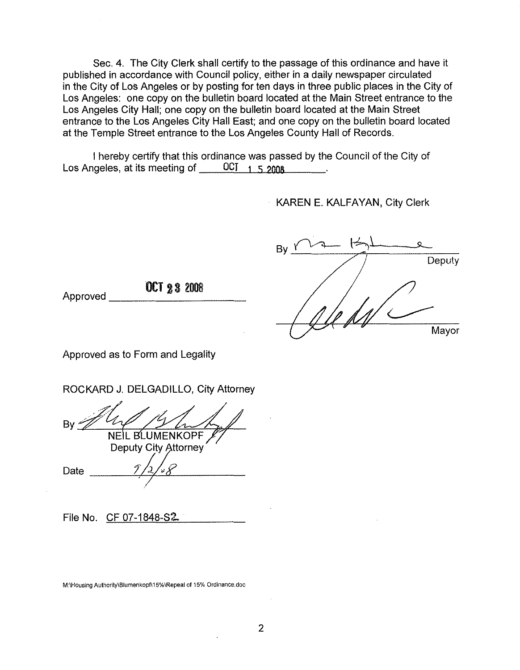Sec. 4. The City Clerk shall certify to the passage of this ordinance and have it published in accordance with Council policy, either in a daily newspaper circulated in the City of LoS Angeles or by posting for ten days in three public places in the City of Los Angeles: one copy on the bulletin board located at the Main Street entrance to the Los Angeles City Hall; one copy on the bulletin board located at the Main Street entrance to the Los Angeles City Hall East; and one copy on the bulletin board located at the Temple Street entrance to the Los Angeles County Hall of Records.

I hereby certify that this ordinance was passed by the Council of the City of Los Angeles, at its meeting of OCT 1 5 2008

**KAREN E. KALFAYAN, City Clerk** 

| B) |        |
|----|--------|
|    | Deputy |
|    |        |
|    | Mayor  |

OCT <sup>232008</sup> Approved \_

Approved as to Form and Legality

ROCKARD J. DELGADILLO, City Attorney

NEIL BLUMENKOPF

**Deputy City Attorney** 

Date 1

File No. CF 07-1848-S2.

M:\Housing Authority\Blumenkopf\15%\Repea! **of** 15% Ordinance.doc